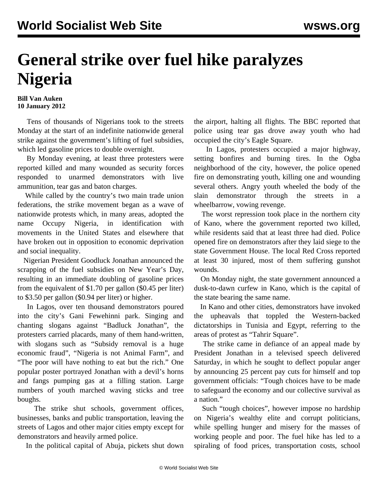## **General strike over fuel hike paralyzes Nigeria**

**Bill Van Auken 10 January 2012**

 Tens of thousands of Nigerians took to the streets Monday at the start of an indefinite nationwide general strike against the government's lifting of fuel subsidies, which led gasoline prices to double overnight.

 By Monday evening, at least three protesters were reported killed and many wounded as security forces responded to unarmed demonstrators with live ammunition, tear gas and baton charges.

 While called by the country's two main trade union federations, the strike movement began as a wave of nationwide protests which, in many areas, adopted the name Occupy Nigeria, in identification with movements in the United States and elsewhere that have broken out in opposition to economic deprivation and social inequality.

 Nigerian President Goodluck Jonathan announced the scrapping of the fuel subsidies on New Year's Day, resulting in an immediate doubling of gasoline prices from the equivalent of \$1.70 per gallon (\$0.45 per liter) to \$3.50 per gallon (\$0.94 per liter) or higher.

 In Lagos, over ten thousand demonstrators poured into the city's Gani Fewehinni park. Singing and chanting slogans against "Badluck Jonathan", the protesters carried placards, many of them hand-written, with slogans such as "Subsidy removal is a huge economic fraud", "Nigeria is not Animal Farm", and "The poor will have nothing to eat but the rich." One popular poster portrayed Jonathan with a devil's horns and fangs pumping gas at a filling station. Large numbers of youth marched waving sticks and tree boughs.

 The strike shut schools, government offices, businesses, banks and public transportation, leaving the streets of Lagos and other major cities empty except for demonstrators and heavily armed police.

In the political capital of Abuja, pickets shut down

the airport, halting all flights. The BBC reported that police using tear gas drove away youth who had occupied the city's Eagle Square.

 In Lagos, protesters occupied a major highway, setting bonfires and burning tires. In the Ogba neighborhood of the city, however, the police opened fire on demonstrating youth, killing one and wounding several others. Angry youth wheeled the body of the slain demonstrator through the streets in a wheelbarrow, vowing revenge.

 The worst repression took place in the northern city of Kano, where the government reported two killed, while residents said that at least three had died. Police opened fire on demonstrators after they laid siege to the state Government House. The local Red Cross reported at least 30 injured, most of them suffering gunshot wounds.

 On Monday night, the state government announced a dusk-to-dawn curfew in Kano, which is the capital of the state bearing the same name.

 In Kano and other cities, demonstrators have invoked the upheavals that toppled the Western-backed dictatorships in Tunisia and Egypt, referring to the areas of protest as "Tahrir Square".

 The strike came in defiance of an appeal made by President Jonathan in a televised speech delivered Saturday, in which he sought to deflect popular anger by announcing 25 percent pay cuts for himself and top government officials: "Tough choices have to be made to safeguard the economy and our collective survival as a nation."

 Such "tough choices", however impose no hardship on Nigeria's wealthy elite and corrupt politicians, while spelling hunger and misery for the masses of working people and poor. The fuel hike has led to a spiraling of food prices, transportation costs, school